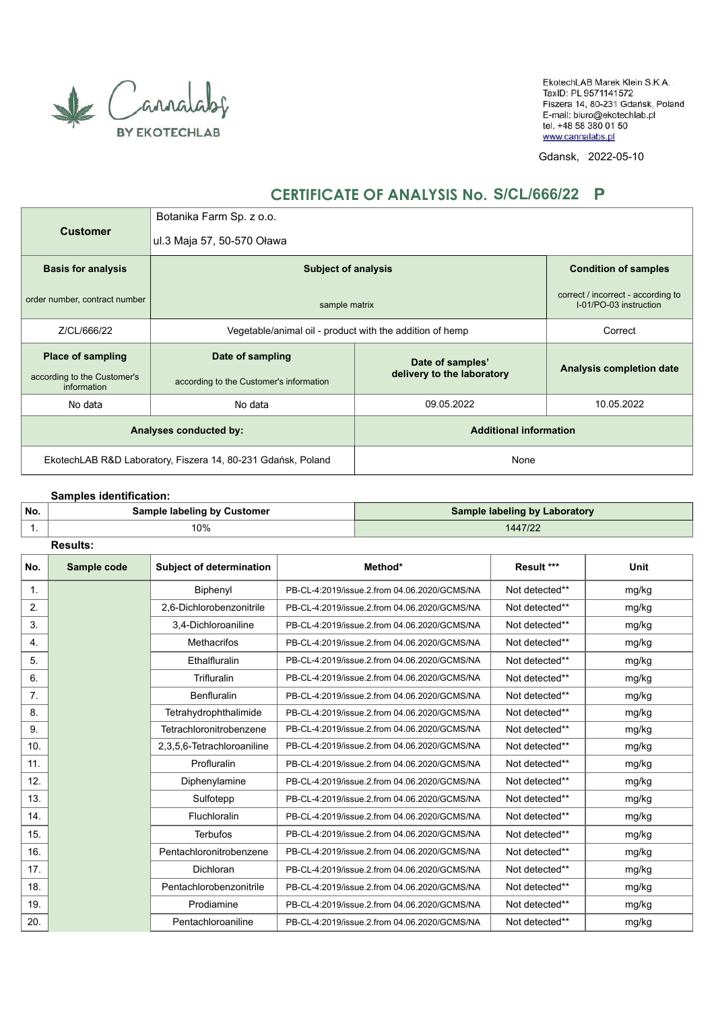

EkotechLAB Marek Klein S.K.A. TaxID: PL 9571141572 Fiszera 14, 80-231 Gdańsk, Poland E-mail: biuro@ekotechlab.pl tel. +48 58 380 01 50 www.cannalabs.pl

Gdansk, 2022-05-10

## **CERTIFICATE OF ANALYSIS No. S/CL/666/22**

|                                                              | Botanika Farm Sp. z o.o.                                 |                                                              |                          |  |
|--------------------------------------------------------------|----------------------------------------------------------|--------------------------------------------------------------|--------------------------|--|
| <b>Customer</b>                                              | ul.3 Maja 57, 50-570 Oława                               |                                                              |                          |  |
| <b>Basis for analysis</b>                                    | <b>Subject of analysis</b>                               | <b>Condition of samples</b>                                  |                          |  |
| order number, contract number                                | sample matrix                                            | correct / incorrect - according to<br>I-01/PO-03 instruction |                          |  |
| Z/CL/666/22                                                  | Vegetable/animal oil - product with the addition of hemp |                                                              | Correct                  |  |
| <b>Place of sampling</b>                                     | Date of sampling                                         | Date of samples'                                             | Analysis completion date |  |
| according to the Customer's<br>information                   | according to the Customer's information                  | delivery to the laboratory                                   |                          |  |
| No data<br>No data                                           |                                                          | 09.05.2022                                                   | 10.05.2022               |  |
| Analyses conducted by:                                       |                                                          | <b>Additional information</b>                                |                          |  |
| EkotechLAB R&D Laboratory, Fiszera 14, 80-231 Gdańsk, Poland |                                                          | None                                                         |                          |  |

## **Samples identification:**

| No. | <b>Sample labeling by Customer</b> | <b>Sample labeling by Laboratory</b> |
|-----|------------------------------------|--------------------------------------|
|     | 10%                                | 1447/22                              |
|     |                                    |                                      |

| No. | Sample code | <b>Subject of determination</b> | Method*                                      | Result ***     | Unit  |
|-----|-------------|---------------------------------|----------------------------------------------|----------------|-------|
| 1.  |             | Biphenyl                        | PB-CL-4:2019/issue.2.from 04.06.2020/GCMS/NA | Not detected** | mg/kg |
| 2.  |             | 2,6-Dichlorobenzonitrile        | PB-CL-4:2019/issue.2.from 04.06.2020/GCMS/NA | Not detected** | mg/kg |
| 3.  |             | 3,4-Dichloroaniline             | PB-CL-4:2019/issue.2.from 04.06.2020/GCMS/NA | Not detected** | mg/kg |
| 4.  |             | <b>Methacrifos</b>              | PB-CL-4:2019/issue.2.from 04.06.2020/GCMS/NA | Not detected** | mg/kg |
| 5.  |             | Ethalfluralin                   | PB-CL-4:2019/issue.2.from 04.06.2020/GCMS/NA | Not detected** | mg/kg |
| 6.  |             | Trifluralin                     | PB-CL-4:2019/issue.2.from 04.06.2020/GCMS/NA | Not detected** | mg/kg |
| 7.  |             | <b>Benfluralin</b>              | PB-CL-4:2019/issue.2.from 04.06.2020/GCMS/NA | Not detected** | mg/kg |
| 8.  |             | Tetrahydrophthalimide           | PB-CL-4:2019/issue.2.from 04.06.2020/GCMS/NA | Not detected** | mg/kg |
| 9.  |             | Tetrachloronitrobenzene         | PB-CL-4:2019/issue.2.from 04.06.2020/GCMS/NA | Not detected** | mg/kg |
| 10. |             | 2,3,5,6-Tetrachloroaniline      | PB-CL-4:2019/issue.2.from 04.06.2020/GCMS/NA | Not detected** | mg/kg |
| 11. |             | Profluralin                     | PB-CL-4:2019/issue.2.from 04.06.2020/GCMS/NA | Not detected** | mg/kg |
| 12. |             | Diphenylamine                   | PB-CL-4:2019/issue.2.from 04.06.2020/GCMS/NA | Not detected** | mg/kg |
| 13. |             | Sulfotepp                       | PB-CL-4:2019/issue.2.from 04.06.2020/GCMS/NA | Not detected** | mg/kg |
| 14. |             | Fluchloralin                    | PB-CL-4:2019/issue.2.from 04.06.2020/GCMS/NA | Not detected** | mg/kg |
| 15. |             | <b>Terbufos</b>                 | PB-CL-4:2019/issue.2.from 04.06.2020/GCMS/NA | Not detected** | mg/kg |
| 16. |             | Pentachloronitrobenzene         | PB-CL-4:2019/issue.2.from 04.06.2020/GCMS/NA | Not detected** | mg/kg |
| 17. |             | Dichloran                       | PB-CL-4:2019/issue.2.from 04.06.2020/GCMS/NA | Not detected** | mg/kg |
| 18. |             | Pentachlorobenzonitrile         | PB-CL-4:2019/issue.2.from 04.06.2020/GCMS/NA | Not detected** | mg/kg |
| 19. |             | Prodiamine                      | PB-CL-4:2019/issue.2.from 04.06.2020/GCMS/NA | Not detected** | mg/kg |
| 20. |             | Pentachloroaniline              | PB-CL-4:2019/issue.2.from 04.06.2020/GCMS/NA | Not detected** | mg/kg |